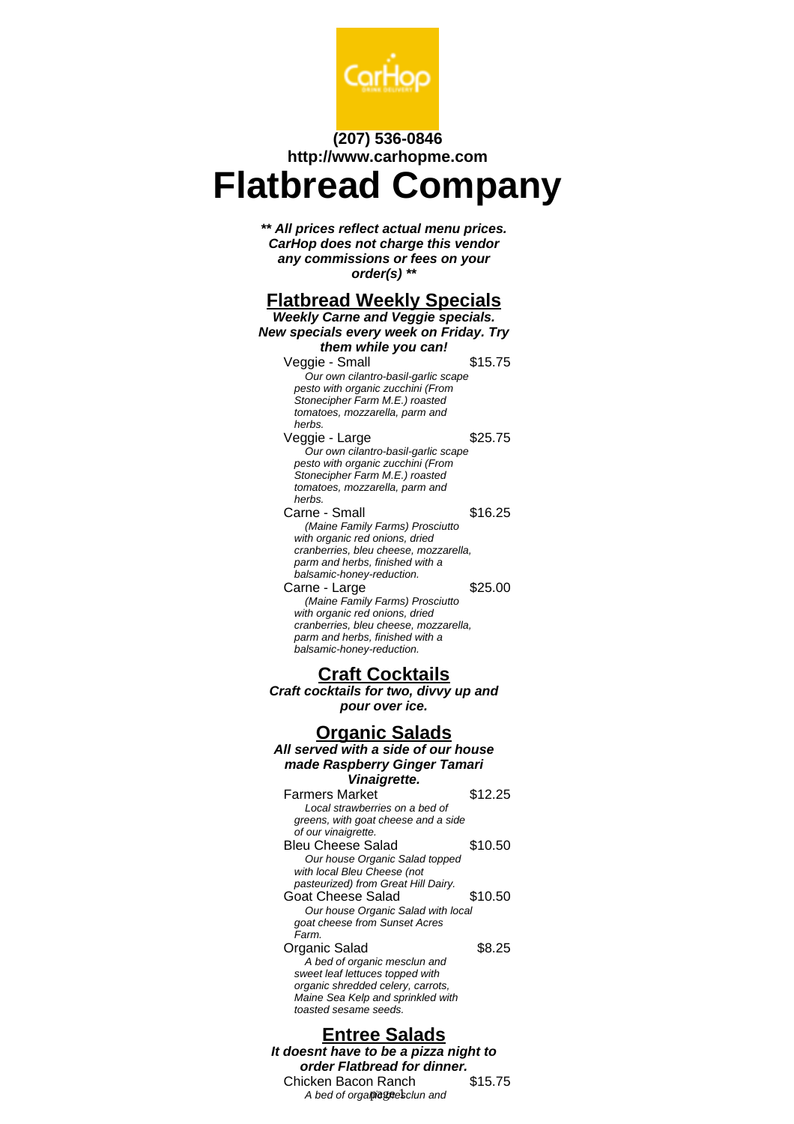

### **(207) 536-0846 http://www.carhopme.com**

# **Flatbread Company**

**\*\* All prices reflect actual menu prices. CarHop does not charge this vendor any commissions or fees on your order(s) \*\***

# **Flatbread Weekly Specials**

|                                                                                                                                                                                             | <b>Weekly Carne and Veggie specials.</b> |  |  |
|---------------------------------------------------------------------------------------------------------------------------------------------------------------------------------------------|------------------------------------------|--|--|
| New specials every week on Friday. Try                                                                                                                                                      |                                          |  |  |
| them while you can!                                                                                                                                                                         |                                          |  |  |
| Veggie - Small<br>Our own cilantro-basil-garlic scape<br>pesto with organic zucchini (From<br>Stonecipher Farm M.E.) roasted<br>tomatoes, mozzarella, parm and                              | \$15.75                                  |  |  |
| herbs.<br>Veggie - Large<br>Our own cilantro-basil-garlic scape<br>pesto with organic zucchini (From<br>Stonecipher Farm M.E.) roasted<br>tomatoes, mozzarella, parm and<br>herbs.          | \$25.75                                  |  |  |
| Carne - Small<br>(Maine Family Farms) Prosciutto<br>with organic red onions, dried<br>cranberries, bleu cheese, mozzarella,<br>parm and herbs, finished with a<br>balsamic-honey-reduction. | \$16.25                                  |  |  |
| Carne - Large<br>(Maine Family Farms) Prosciutto<br>with organic red onions, dried<br>cranberries, bleu cheese, mozzarella,<br>parm and herbs, finished with a<br>balsamic-honey-reduction. | \$25.00                                  |  |  |
| <b>Craft Cocktails</b><br>Craft cocktails for two, divvy up and<br>pour over ice.                                                                                                           |                                          |  |  |
|                                                                                                                                                                                             |                                          |  |  |
| <u> Organic Salads</u>                                                                                                                                                                      |                                          |  |  |
|                                                                                                                                                                                             |                                          |  |  |
| All served with a side of our house                                                                                                                                                         |                                          |  |  |
| made Raspberry Ginger Tamari                                                                                                                                                                |                                          |  |  |
| Vinaigrette.<br><b>Farmers Market</b><br>Local strawberries on a bed of                                                                                                                     | \$12.25                                  |  |  |
| greens, with goat cheese and a side<br>of our vinaigrette.<br><b>Bleu Cheese Salad</b><br>Our house Organic Salad topped                                                                    | \$10.50                                  |  |  |
| with local Bleu Cheese (not<br>pasteurized) from Great Hill Dairy.<br><b>Goat Cheese Salad</b><br>Our house Organic Salad with local<br>goat cheese from Sunset Acres                       | \$10.50                                  |  |  |

## **Entree Salads**

**It doesnt have to be a pizza night to order Flatbread for dinner.** Chicken Bacon Ranch \$15.75 A bed of orgapiegnesclun and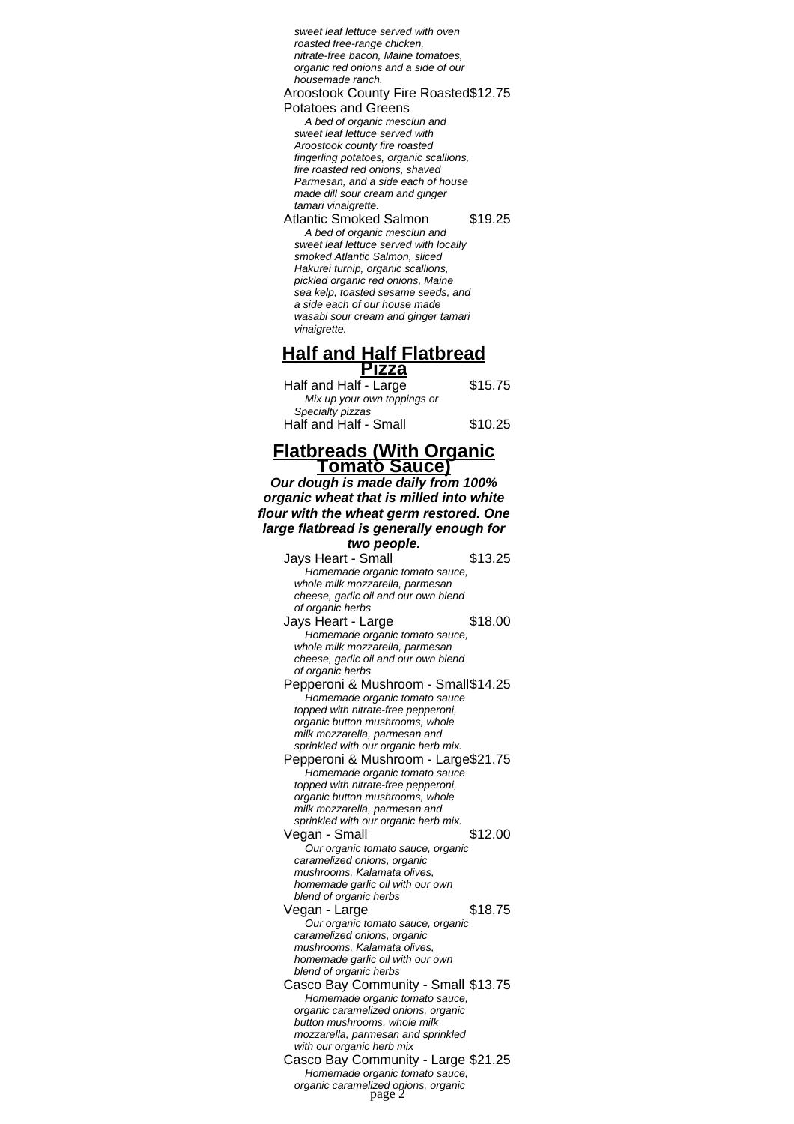sweet leaf lettuce served with oven roasted free-range chicken, nitrate-free bacon, Maine tomatoes, organic red onions and a side of our housemade ranch.

#### Aroostook County Fire Roasted \$12.75

Potatoes and Greens A bed of organic mesclun and sweet leaf lettuce served with Aroostook county fire roasted fingerling potatoes, organic scallions, fire roasted red onions, shaved Parmesan, and a side each of house made dill sour cream and ginger tamari vinaigrette.

Atlantic Smoked Salmon \$19.25 A bed of organic mesclun and sweet leaf lettuce served with locally smoked Atlantic Salmon, sliced Hakurei turnip, organic scallions, pickled organic red onions, Maine sea kelp, toasted sesame seeds, and a side each of our house made wasabi sour cream and ginger tamari vinaigrette.

#### **Half and Half Flatbread Pizza**

Half and Half - Large \$15.75 Mix up your own toppings or Specialty pizzas Half and Half - Small \$10.25

#### **Flatbreads (With Organic Tomato Sauce)**

**Our dough is made daily from 100% organic wheat that is milled into white flour with the wheat germ restored. One large flatbread is generally enough for**

**two people.** Jays Heart - Small \$13.25 Homemade organic tomato sauce, whole milk mozzarella, parmesan cheese, garlic oil and our own blend of organic herbs Jays Heart - Large \$18.00 Homemade organic tomato sauce, whole milk mozzarella, parmesan cheese, garlic oil and our own blend of organic herbs Pepperoni & Mushroom - Small\$14.25 Homemade organic tomato sauce topped with nitrate-free pepperoni, organic button mushrooms, whole milk mozzarella, parmesan and sprinkled with our organic herb mix. Pepperoni & Mushroom - Large\$21.75 Homemade organic tomato sauce topped with nitrate-free pepperoni, organic button mushrooms, whole milk mozzarella, parmesan and sprinkled with our organic herb mix. Vegan - Small \$12.00 Our organic tomato sauce, organic caramelized onions, organic mushrooms, Kalamata olives, homemade garlic oil with our own blend of organic herbs Vegan - Large \$18.75 Our organic tomato sauce, organic caramelized onions, organic mushrooms, Kalamata olives, homemade garlic oil with our own blend of organic herbs Casco Bay Community - Small \$13.75 Homemade organic tomato sauce, organic caramelized onions, organic button mushrooms, whole milk mozzarella, parmesan and sprinkled with our organic herb mix Casco Bay Community - Large \$21.25 Homemade organic tomato sauce, organic caramelized onions, organic<br>page 2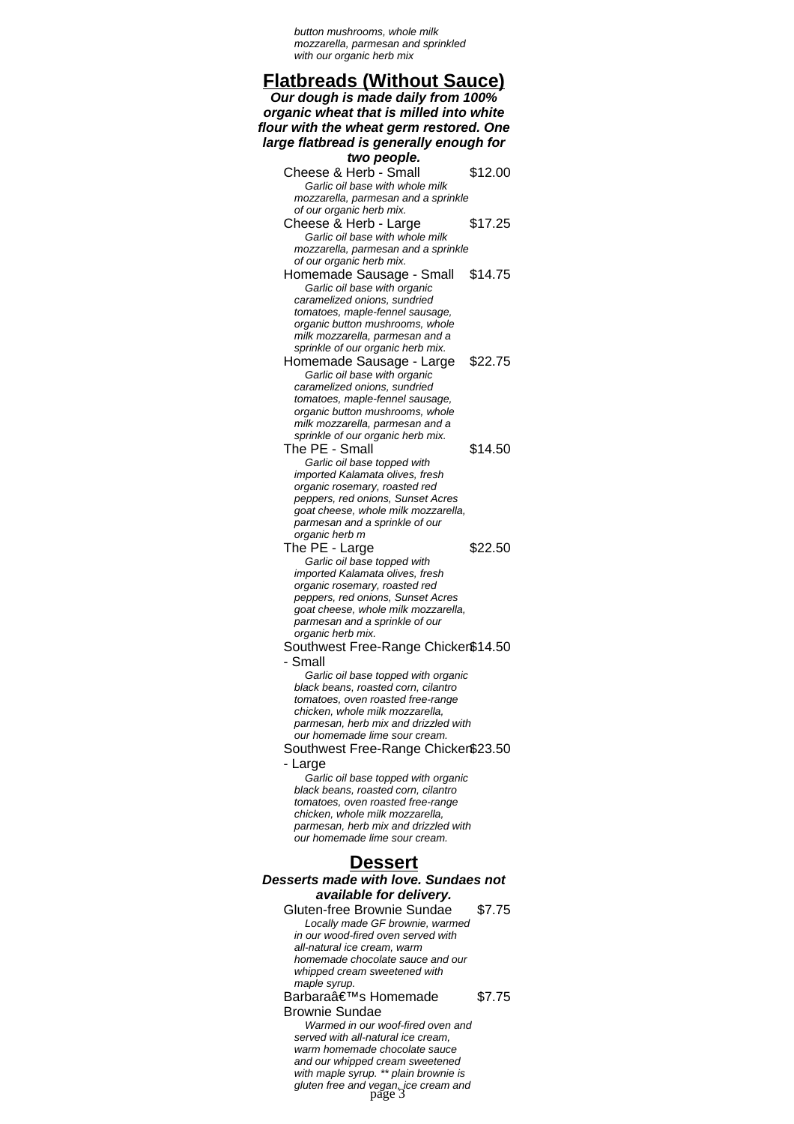button mushrooms, whole milk mozzarella, parmesan and sprinkled with our organic herb mix

# **Flatbreads (Without Sauce)**

**Our dough is made daily from 100% organic wheat that is milled into white flour with the wheat germ restored. One large flatbread is generally enough for two people.** Cheese & Herb - Small \$12.00 Garlic oil base with whole milk mozzarella, parmesan and a sprinkle of our organic herb mix. Cheese & Herb - Large \$17.25 Garlic oil base with whole milk mozzarella, parmesan and a sprinkle of our organic herb mix. Homemade Sausage - Small \$14.75 Garlic oil base with organic caramelized onions, sundried tomatoes, maple-fennel sausage, organic button mushrooms, whole milk mozzarella, parmesan and a sprinkle of our organic herb mix. Homemade Sausage - Large \$22.75 Garlic oil base with organic caramelized onions, sundried tomatoes, maple-fennel sausage, organic button mushrooms, whole milk mozzarella, parmesan and a sprinkle of our organic herb mix. The PE - Small \$14.50 Garlic oil base topped with imported Kalamata olives, fresh organic rosemary, roasted red peppers, red onions, Sunset Acres goat cheese, whole milk mozzarella, parmesan and a sprinkle of our organic herb m The PE - Large \$22.50 Garlic oil base topped with imported Kalamata olives, fresh organic rosemary, roasted red peppers, red onions, Sunset Acres goat cheese, whole milk mozzarella, parmesan and a sprinkle of our organic herb mix. Southwest Free-Range Chicken \$14.50 - Small Garlic oil base topped with organic black beans, roasted corn, cilantro tomatoes, oven roasted free-range chicken, whole milk mozzarella, parmesan, herb mix and drizzled with our homemade lime sour cream. Southwest Free-Range Chicken \$23.50 - Large Garlic oil base topped with organic black beans, roasted corn, cilantro tomatoes, oven roasted free-range chicken, whole milk mozzarella, parmesan, herb mix and drizzled with our homemade lime sour cream. **Dessert Desserts made with love. Sundaes not available for delivery.** Gluten-free Brownie Sundae \$7.75 Locally made GF brownie, warmed in our wood-fired oven served with all-natural ice cream, warm homemade chocolate sauce and our whinned cream sweetened with maple syrup. Barbaraâ€<sup>™</sup>s Homemade Brownie Sundae \$7.75 Warmed in our woof-fired oven and served with all-natural ice cream, warm homemade chocolate sauce

and our whipped cream sweetened with maple syrup. \*\* plain brownie is gluten free and vegan, ice cream and page 3